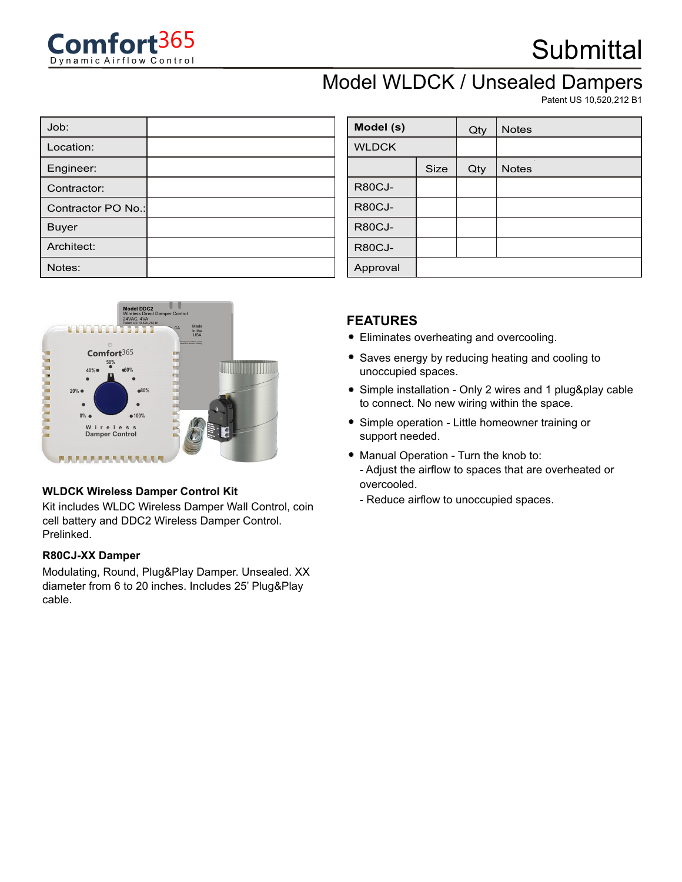

### Model WLDCK / Unsealed Dampers

Patent US 10,520,212 B1

| Job:               |  |
|--------------------|--|
| Location:          |  |
| Engineer:          |  |
| Contractor:        |  |
| Contractor PO No.: |  |
| <b>Buyer</b>       |  |
| Architect:         |  |
| Notes:             |  |



#### **WLDCK Wireless Damper Control Kit**

Kit includes WLDC Wireless Damper Wall Control, coin cell battery and DDC2 Wireless Damper Control. Prelinked.

#### **R80CJ-XX Damper**

Modulating, Round, Plug&Play Damper. Unsealed. XX diameter from 6 to 20 inches. Includes 25' Plug&Play cable.

| Model (s)     |             | Qty | <b>Notes</b> |
|---------------|-------------|-----|--------------|
| <b>WLDCK</b>  |             |     |              |
|               | <b>Size</b> | Qty | <b>Notes</b> |
| <b>R80CJ-</b> |             |     |              |
| <b>R80CJ-</b> |             |     |              |
| <b>R80CJ-</b> |             |     |              |
| <b>R80CJ-</b> |             |     |              |
| Approval      |             |     |              |

#### **FEATURES**

- Eliminates overheating and overcooling.
- Saves energy by reducing heating and cooling to unoccupied spaces.
- Simple installation Only 2 wires and 1 plug&play cable to connect. No new wiring within the space.
- Simple operation Little homeowner training or support needed.
- Manual Operation Turn the knob to: - Adjust the airflow to spaces that are overheated or overcooled.
	- Reduce airflow to unoccupied spaces.